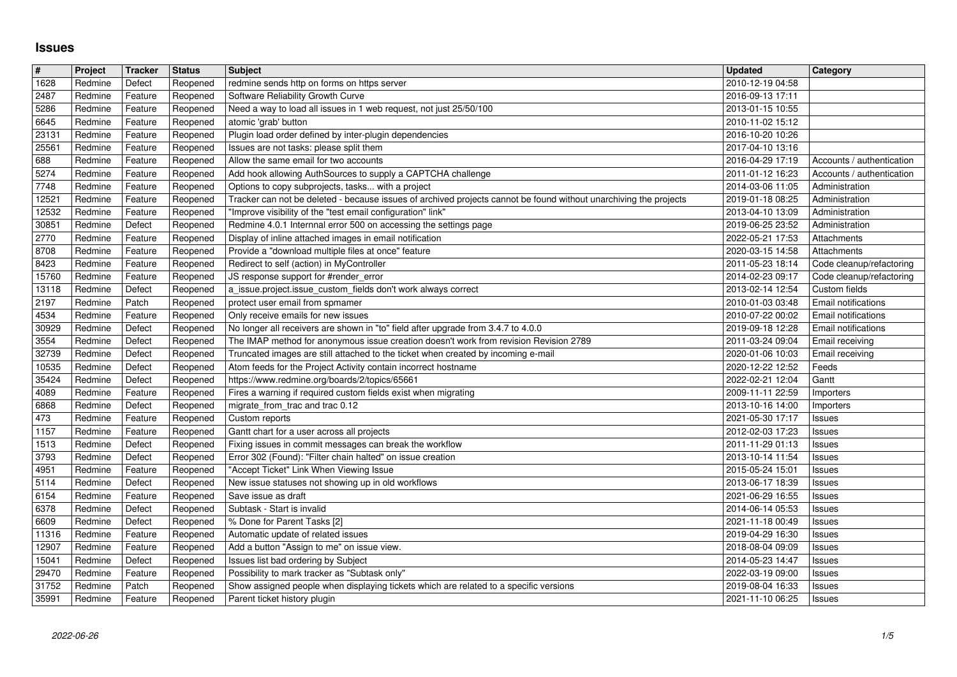## **Issues**

| $\overline{\#}$  | Project            | Tracker            | <b>Status</b>        | <b>Subject</b>                                                                                                        | <b>Updated</b>                       | <b>Category</b>                           |
|------------------|--------------------|--------------------|----------------------|-----------------------------------------------------------------------------------------------------------------------|--------------------------------------|-------------------------------------------|
| 1628             | Redmine            | Defect             | Reopened             | redmine sends http on forms on https server                                                                           | 2010-12-19 04:58                     |                                           |
| 2487             | Redmine            | Feature            | Reopened             | Software Reliability Growth Curve                                                                                     | 2016-09-13 17:11                     |                                           |
| 5286             | Redmine            | Feature            | Reopened             | Need a way to load all issues in 1 web request, not just 25/50/100                                                    | 2013-01-15 10:55                     |                                           |
| 6645             | Redmine            | Feature            | Reopened             | atomic 'grab' button                                                                                                  | 2010-11-02 15:12                     |                                           |
| 23131<br>25561   | Redmine<br>Redmine | Feature<br>Feature | Reopened             | Plugin load order defined by inter-plugin dependencies<br>Issues are not tasks: please split them                     | 2016-10-20 10:26<br>2017-04-10 13:16 |                                           |
| 688              | Redmine            | Feature            | Reopened<br>Reopened | Allow the same email for two accounts                                                                                 | 2016-04-29 17:19                     | Accounts / authentication                 |
| 5274             | Redmine            | Feature            | Reopened             | Add hook allowing AuthSources to supply a CAPTCHA challenge                                                           | 2011-01-12 16:23                     | Accounts / authentication                 |
| 7748             | Redmine            | Feature            | Reopened             | Options to copy subprojects, tasks with a project                                                                     | 2014-03-06 11:05                     | Administration                            |
| 12521            | Redmine            | Feature            | Reopened             | Tracker can not be deleted - because issues of archived projects cannot be found without unarchiving the projects     | 2019-01-18 08:25                     | Administration                            |
| 12532            | Redmine            | Feature            | Reopened             | "Improve visibility of the "test email configuration" link"                                                           | 2013-04-10 13:09                     | Administration                            |
| 30851            | Redmine            | Defect             | Reopened             | Redmine 4.0.1 Internnal error 500 on accessing the settings page                                                      | 2019-06-25 23:52                     | Administration                            |
| 2770             | Redmine            | Feature            | Reopened             | Display of inline attached images in email notification                                                               | 2022-05-21 17:53                     | Attachments                               |
| 8708             | Redmine            | Feature            | Reopened             | Provide a "download multiple files at once" feature                                                                   | 2020-03-15 14:58                     | Attachments                               |
| 8423             | Redmine            | Feature            | Reopened             | Redirect to self (action) in MyController                                                                             | 2011-05-23 18:14                     | Code cleanup/refactoring                  |
| 15760<br>13118   | Redmine<br>Redmine | Feature<br>Defect  | Reopened<br>Reopened | JS response support for #render_error<br>a_issue.project.issue_custom_fields don't work always correct                | 2014-02-23 09:17<br>2013-02-14 12:54 | Code cleanup/refactoring<br>Custom fields |
| 2197             | Redmine            | Patch              | Reopened             | protect user email from spmamer                                                                                       | 2010-01-03 03:48                     | Email notifications                       |
| 4534             | Redmine            | Feature            | Reopened             | Only receive emails for new issues                                                                                    | 2010-07-22 00:02                     | Email notifications                       |
| 30929            | Redmine            | Defect             | Reopened             | No longer all receivers are shown in "to" field after upgrade from 3.4.7 to 4.0.0                                     | 2019-09-18 12:28                     | Email notifications                       |
| 3554             | Redmine            | Defect             | Reopened             | The IMAP method for anonymous issue creation doesn't work from revision Revision 2789                                 | 2011-03-24 09:04                     | Email receiving                           |
| 32739            | Redmine            | Defect             | Reopened             | Truncated images are still attached to the ticket when created by incoming e-mail                                     | 2020-01-06 10:03                     | Email receiving                           |
| 10535            | Redmine            | Defect             | Reopened             | Atom feeds for the Project Activity contain incorrect hostname                                                        | 2020-12-22 12:52                     | Feeds                                     |
| 35424            | Redmine            | Defect             | Reopened             | https://www.redmine.org/boards/2/topics/65661                                                                         | 2022-02-21 12:04                     | Gantt                                     |
| 4089             | Redmine            | Feature            | Reopened             | Fires a warning if required custom fields exist when migrating                                                        | 2009-11-11 22:59                     | Importers                                 |
| 6868             | Redmine            | Defect             | Reopened             | migrate_from_trac and trac 0.12                                                                                       | 2013-10-16 14:00                     | Importers                                 |
| 473              | Redmine            | Feature            | Reopened             | Custom reports                                                                                                        | 2021-05-30 17:17                     | Issues                                    |
| $\frac{1}{1157}$ | Redmine<br>Redmine | Feature<br>Defect  | Reopened             | Gantt chart for a user across all projects                                                                            | 2012-02-03 17:23<br>2011-11-29 01:13 | Issues                                    |
| 1513<br>3793     | Redmine            | Defect             | Reopened<br>Reopened | Fixing issues in commit messages can break the workflow<br>Error 302 (Found): "Filter chain halted" on issue creation | 2013-10-14 11:54                     | Issues<br>Issues                          |
| 4951             | Redmine            | Feature            | Reopened             | "Accept Ticket" Link When Viewing Issue                                                                               | 2015-05-24 15:01                     | Issues                                    |
| 5114             | Redmine            | Defect             | Reopened             | New issue statuses not showing up in old workflows                                                                    | 2013-06-17 18:39                     | Issues                                    |
| 6154             | Redmine            | Feature            | Reopened             | Save issue as draft                                                                                                   | 2021-06-29 16:55                     | Issues                                    |
| 6378             | Redmine            | Defect             | Reopened             | Subtask - Start is invalid                                                                                            | 2014-06-14 05:53                     | Issues                                    |
| 6609             | Redmine            | Defect             | Reopened             | % Done for Parent Tasks [2]                                                                                           | 2021-11-18 00:49                     | Issues                                    |
| 11316            | Redmine            | Feature            | Reopened             | Automatic update of related issues                                                                                    | 2019-04-29 16:30                     | Issues                                    |
| 12907            | Redmine            | Feature            | Reopened             | Add a button "Assign to me" on issue view.                                                                            | 2018-08-04 09:09                     | Issues                                    |
| 15041            | Redmine            | Defect             | Reopened             | Issues list bad ordering by Subject                                                                                   | 2014-05-23 14:47                     | Issues                                    |
| 29470            | Redmine            | Feature            | Reopened             | Possibility to mark tracker as "Subtask only"                                                                         | 2022-03-19 09:00                     | Issues                                    |
| 31752<br>35991   | Redmine<br>Redmine | Patch<br>Feature   | Reopened<br>Reopened | Show assigned people when displaying tickets which are related to a specific versions<br>Parent ticket history plugin | 2019-08-04 16:33<br>2021-11-10 06:25 | Issues<br>Issues                          |
|                  |                    |                    |                      |                                                                                                                       |                                      |                                           |
|                  |                    |                    |                      |                                                                                                                       |                                      |                                           |
|                  |                    |                    |                      |                                                                                                                       |                                      |                                           |
|                  |                    |                    |                      |                                                                                                                       |                                      |                                           |
|                  |                    |                    |                      |                                                                                                                       |                                      |                                           |
|                  |                    |                    |                      |                                                                                                                       |                                      |                                           |
|                  |                    |                    |                      |                                                                                                                       |                                      |                                           |
|                  |                    |                    |                      |                                                                                                                       |                                      |                                           |
|                  |                    |                    |                      |                                                                                                                       |                                      |                                           |
|                  |                    |                    |                      |                                                                                                                       |                                      |                                           |
|                  |                    |                    |                      |                                                                                                                       |                                      |                                           |
|                  |                    |                    |                      |                                                                                                                       |                                      |                                           |
|                  |                    |                    |                      |                                                                                                                       |                                      |                                           |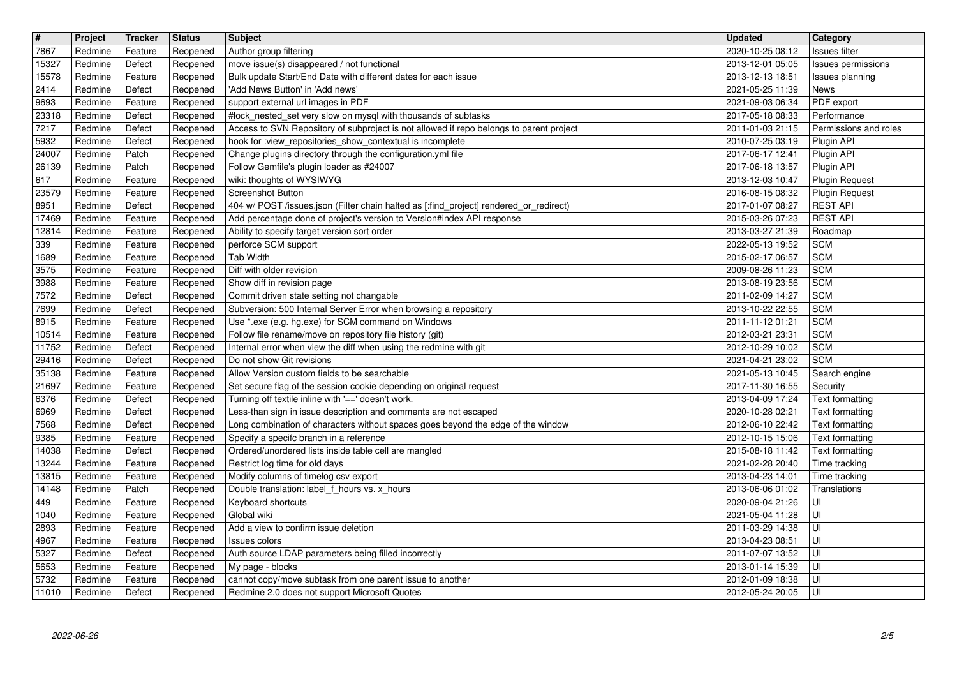| $\overline{\mathbf{H}}$ | Project            | Tracker            | <b>Status</b>        | <b>Subject</b>                                                                                                                                       | <b>Updated</b>                       | Category                                 |
|-------------------------|--------------------|--------------------|----------------------|------------------------------------------------------------------------------------------------------------------------------------------------------|--------------------------------------|------------------------------------------|
| 7867                    | Redmine            | Feature            | Reopened             | Author group filtering                                                                                                                               | 2020-10-25 08:12                     | Issues filter                            |
| 15327<br>15578          | Redmine<br>Redmine | Defect<br>Feature  | Reopened<br>Reopened | move issue(s) disappeared / not functional<br>Bulk update Start/End Date with different dates for each issue                                         | 2013-12-01 05:05<br>2013-12-13 18:51 | Issues permissions<br>Issues planning    |
| 2414                    | Redmine            | Defect             | Reopened             | 'Add News Button' in 'Add news'                                                                                                                      | 2021-05-25 11:39                     | News                                     |
| 9693                    | Redmine            | Feature            | Reopened             | support external url images in PDF                                                                                                                   | 2021-09-03 06:34                     | PDF export                               |
| 23318                   | Redmine            | Defect             | Reopened             | #lock_nested_set very slow on mysql with thousands of subtasks                                                                                       | 2017-05-18 08:33                     | Performance                              |
| 7217<br>5932            | Redmine<br>Redmine | Defect<br>Defect   | Reopened<br>Reopened | Access to SVN Repository of subproject is not allowed if repo belongs to parent project<br>hook for :view_repositories_show_contextual is incomplete | 2011-01-03 21:15<br>2010-07-25 03:19 | Permissions and roles<br>Plugin API      |
| 24007                   | Redmine            | Patch              | Reopened             | Change plugins directory through the configuration.yml file                                                                                          | 2017-06-17 12:41                     | Plugin API                               |
| 26139                   | Redmine            | Patch              | Reopened             | Follow Gemfile's plugin loader as #24007                                                                                                             | 2017-06-18 13:57                     | Plugin API                               |
| 617                     | Redmine            | Feature            | Reopened             | wiki: thoughts of WYSIWYG                                                                                                                            | 2013-12-03 10:47                     | <b>Plugin Request</b>                    |
| 23579<br>8951           | Redmine<br>Redmine | Feature<br>Defect  | Reopened<br>Reopened | Screenshot Button<br>404 w/ POST /issues.json (Filter chain halted as [:find_project] rendered_or_redirect)                                          | 2016-08-15 08:32<br>2017-01-07 08:27 | <b>Plugin Request</b><br><b>REST API</b> |
| 17469                   | Redmine            | Feature            | Reopened             | Add percentage done of project's version to Version#index API response                                                                               | 2015-03-26 07:23                     | <b>REST API</b>                          |
| 12814                   | Redmine            | Feature            | Reopened             | Ability to specify target version sort order                                                                                                         | 2013-03-27 21:39                     | Roadmap                                  |
| 339                     | Redmine<br>Redmine | Feature            | Reopened             | perforce SCM support<br>Tab Width                                                                                                                    | 2022-05-13 19:52                     | <b>SCM</b><br><b>SCM</b>                 |
| 1689<br>3575            | Redmine            | Feature<br>Feature | Reopened<br>Reopened | Diff with older revision                                                                                                                             | 2015-02-17 06:57<br>2009-08-26 11:23 | <b>SCM</b>                               |
| 3988                    | Redmine            | Feature            | Reopened             | Show diff in revision page                                                                                                                           | 2013-08-19 23:56                     | <b>SCM</b>                               |
| 7572                    | Redmine            | Defect             | Reopened             | Commit driven state setting not changable                                                                                                            | 2011-02-09 14:27                     | <b>SCM</b>                               |
| 7699                    | Redmine            | Defect             | Reopened             | Subversion: 500 Internal Server Error when browsing a repository<br>Use *.exe (e.g. hg.exe) for SCM command on Windows                               | 2013-10-22 22:55<br>2011-11-12 01:21 | <b>SCM</b><br>SCM                        |
| 8915<br>10514           | Redmine<br>Redmine | Feature<br>Feature | Reopened<br>Reopened | Follow file rename/move on repository file history (git)                                                                                             | 2012-03-21 23:31                     | <b>SCM</b>                               |
| 11752                   | Redmine            | Defect             | Reopened             | Internal error when view the diff when using the redmine with git                                                                                    | 2012-10-29 10:02                     | <b>SCM</b>                               |
| 29416                   | Redmine            | Defect             | Reopened             | Do not show Git revisions                                                                                                                            | 2021-04-21 23:02                     | <b>SCM</b>                               |
| 35138<br>21697          | Redmine<br>Redmine | Feature<br>Feature | Reopened<br>Reopened | Allow Version custom fields to be searchable<br>Set secure flag of the session cookie depending on original request                                  | 2021-05-13 10:45<br>2017-11-30 16:55 | Search engine<br>Security                |
| 6376                    | Redmine            | Defect             | Reopened             | Turning off textile inline with '==' doesn't work.                                                                                                   | 2013-04-09 17:24                     | Text formatting                          |
| 6969                    | Redmine            | Defect             | Reopened             | Less-than sign in issue description and comments are not escaped                                                                                     | 2020-10-28 02:21                     | Text formatting                          |
| 7568                    | Redmine            | Defect             | Reopened             | Long combination of characters without spaces goes beyond the edge of the window                                                                     | 2012-06-10 22:42                     | Text formatting                          |
| 9385<br>14038           | Redmine<br>Redmine | Feature<br>Defect  | Reopened<br>Reopened | Specify a specifc branch in a reference<br>Ordered/unordered lists inside table cell are mangled                                                     | 2012-10-15 15:06<br>2015-08-18 11:42 | Text formatting<br>Text formatting       |
| 13244                   | Redmine            | Feature            | Reopened             | Restrict log time for old days                                                                                                                       | 2021-02-28 20:40                     | Time tracking                            |
| 13815                   | Redmine            | Feature            | Reopened             | Modify columns of timelog csv export                                                                                                                 | 2013-04-23 14:01                     | Time tracking                            |
| 14148                   | Redmine            | Patch              | Reopened             | Double translation: label_f_hours vs. x_hours                                                                                                        | 2013-06-06 01:02                     | Translations                             |
| 449<br>1040             | Redmine<br>Redmine | Feature<br>Feature | Reopened<br>Reopened | Keyboard shortcuts<br>Global wiki                                                                                                                    | 2020-09-04 21:26<br>2021-05-04 11:28 | UI<br>l UI                               |
| 2893                    | Redmine            | Feature            | Reopened             | Add a view to confirm issue deletion                                                                                                                 | 2011-03-29 14:38                     | l UI                                     |
| 4967                    | Redmine            | Feature            | Reopened             | Issues colors                                                                                                                                        | 2013-04-23 08:51                     | U                                        |
| 5327                    | Redmine            | Defect             | Reopened             | Auth source LDAP parameters being filled incorrectly                                                                                                 | 2011-07-07 13:52                     | lui                                      |
| 5653<br>5732            | Redmine<br>Redmine | Feature<br>Feature | Reopened<br>Reopened | My page - blocks<br>cannot copy/move subtask from one parent issue to another                                                                        | 2013-01-14 15:39<br>2012-01-09 18:38 | l UI<br>l UI                             |
| 11010                   | Redmine            | Defect             | Reopened             | Redmine 2.0 does not support Microsoft Quotes                                                                                                        | 2012-05-24 20:05                     | ∣∪⊩                                      |
|                         |                    |                    |                      |                                                                                                                                                      |                                      |                                          |
|                         |                    |                    |                      |                                                                                                                                                      |                                      |                                          |
|                         |                    |                    |                      |                                                                                                                                                      |                                      |                                          |
|                         |                    |                    |                      |                                                                                                                                                      |                                      |                                          |
|                         |                    |                    |                      |                                                                                                                                                      |                                      |                                          |
|                         |                    |                    |                      |                                                                                                                                                      |                                      |                                          |
|                         |                    |                    |                      |                                                                                                                                                      |                                      |                                          |
|                         |                    |                    |                      |                                                                                                                                                      |                                      |                                          |
|                         |                    |                    |                      |                                                                                                                                                      |                                      |                                          |
|                         |                    |                    |                      |                                                                                                                                                      |                                      |                                          |
|                         |                    |                    |                      |                                                                                                                                                      |                                      |                                          |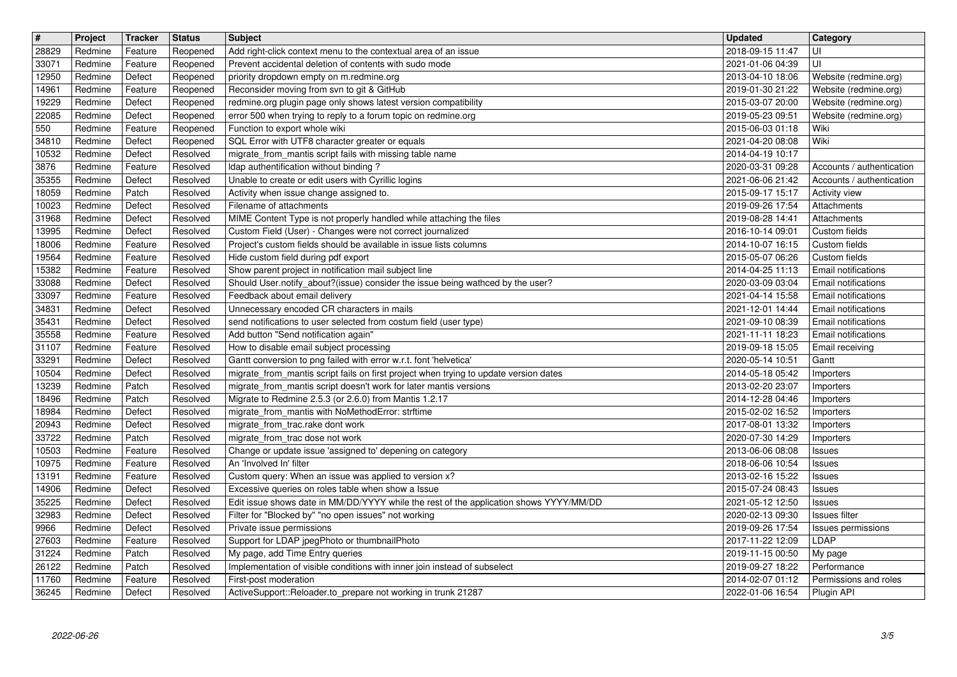| $\boxed{\texttt{#}}$ | Project            | Tracker            | <b>Status</b>        | <b>Subject</b>                                                                                                                   | <b>Updated</b>                       | Category                                          |
|----------------------|--------------------|--------------------|----------------------|----------------------------------------------------------------------------------------------------------------------------------|--------------------------------------|---------------------------------------------------|
| 28829                | Redmine            | Feature            | Reopened             | Add right-click context menu to the contextual area of an issue                                                                  | 2018-09-15 11:47                     | UI                                                |
| 33071<br>12950       | Redmine<br>Redmine | Feature<br>Defect  | Reopened<br>Reopened | Prevent accidental deletion of contents with sudo mode<br>priority dropdown empty on m.redmine.org                               | 2021-01-06 04:39<br>2013-04-10 18:06 | UI<br>Website (redmine.org)                       |
| 14961                | Redmine            | Feature            | Reopened             | Reconsider moving from svn to git & GitHub                                                                                       | 2019-01-30 21:22                     | Website (redmine.org)                             |
| 19229                | Redmine            | Defect             | Reopened             | redmine.org plugin page only shows latest version compatibility                                                                  | 2015-03-07 20:00                     | Website (redmine.org)                             |
| 22085                | Redmine            | Defect             | Reopened             | error 500 when trying to reply to a forum topic on redmine.org                                                                   | 2019-05-23 09:51                     | Website (redmine.org)                             |
| 550<br>34810         | Redmine<br>Redmine | Feature<br>Defect  | Reopened<br>Reopened | Function to export whole wiki<br>SQL Error with UTF8 character greater or equals                                                 | 2015-06-03 01:18<br>2021-04-20 08:08 | Wiki<br>Wiki                                      |
| 10532                | Redmine            | Defect             | Resolved             | migrate_from_mantis script fails with missing table name                                                                         | 2014-04-19 10:17                     |                                                   |
| 3876                 | Redmine            | Feature            | Resolved             | Idap authentification without binding?                                                                                           | 2020-03-31 09:28                     | Accounts / authentication                         |
| 35355<br>18059       | Redmine<br>Redmine | Defect<br>Patch    | Resolved<br>Resolved | Unable to create or edit users with Cyrillic logins<br>Activity when issue change assigned to.                                   | 2021-06-06 21:42<br>2015-09-17 15:17 | Accounts / authentication<br><b>Activity view</b> |
| 10023                | Redmine            | Defect             | Resolved             | Filename of attachments                                                                                                          | 2019-09-26 17:54                     | Attachments                                       |
| 31968                | Redmine            | Defect             | Resolved             | MIME Content Type is not properly handled while attaching the files                                                              | 2019-08-28 14:41                     | Attachments                                       |
| 13995<br>18006       | Redmine<br>Redmine | Defect<br>Feature  | Resolved<br>Resolved | Custom Field (User) - Changes were not correct journalized<br>Project's custom fields should be available in issue lists columns | 2016-10-14 09:01<br>2014-10-07 16:15 | Custom fields<br>Custom fields                    |
| 19564                | Redmine            | Feature            | Resolved             | Hide custom field during pdf export                                                                                              | 2015-05-07 06:26                     | Custom fields                                     |
| 15382                | Redmine            | Feature            | Resolved             | Show parent project in notification mail subject line                                                                            | 2014-04-25 11:13                     | <b>Email notifications</b>                        |
| 33088                | Redmine<br>Redmine | Defect             | Resolved             | Should User.notify_about?(issue) consider the issue being wathced by the user?                                                   | 2020-03-09 03:04                     | Email notifications                               |
| 33097<br>34831       | Redmine            | Feature<br>Defect  | Resolved<br>Resolved | Feedback about email delivery<br>Unnecessary encoded CR characters in mails                                                      | 2021-04-14 15:58<br>2021-12-01 14:44 | Email notifications<br>Email notifications        |
| 35431                | Redmine            | Defect             | Resolved             | send notifications to user selected from costum field (user type)                                                                | 2021-09-10 08:39                     | Email notifications                               |
| 35558                | Redmine            | Feature            | Resolved             | Add button "Send notification again"                                                                                             | 2021-11-11 18:23                     | <b>Email notifications</b>                        |
| 31107<br>33291       | Redmine<br>Redmine | Feature<br>Defect  | Resolved<br>Resolved | How to disable email subject processing<br>Gantt conversion to png failed with error w.r.t. font 'helvetica'                     | 2019-09-18 15:05<br>2020-05-14 10:51 | Email receiving<br>Gantt                          |
| 10504                | Redmine            | Defect             | Resolved             | migrate_from_mantis script fails on first project when trying to update version dates                                            | 2014-05-18 05:42                     | Importers                                         |
| 13239                | Redmine            | Patch              | Resolved             | migrate_from_mantis script doesn't work for later mantis versions                                                                | 2013-02-20 23:07                     | Importers                                         |
| 18496<br>18984       | Redmine<br>Redmine | Patch<br>Defect    | Resolved<br>Resolved | Migrate to Redmine 2.5.3 (or 2.6.0) from Mantis 1.2.17<br>migrate_from_mantis with NoMethodError: strftime                       | 2014-12-28 04:46<br>2015-02-02 16:52 | Importers<br>Importers                            |
| 20943                | Redmine            | Defect             | Resolved             | migrate_from_trac.rake dont work                                                                                                 | 2017-08-01 13:32                     | Importers                                         |
| 33722                | Redmine            | Patch              | Resolved             | migrate_from_trac dose not work                                                                                                  | 2020-07-30 14:29                     | Importers                                         |
| 10503                | Redmine            | Feature            | Resolved             | Change or update issue 'assigned to' depening on category<br>An 'Involved In' filter                                             | 2013-06-06 08:08                     | Issues                                            |
| 10975<br>13191       | Redmine<br>Redmine | Feature<br>Feature | Resolved<br>Resolved | Custom query: When an issue was applied to version x?                                                                            | 2018-06-06 10:54<br>2013-02-16 15:22 | Issues<br>Issues                                  |
| 14906                | Redmine            | Defect             | Resolved             | Excessive queries on roles table when show a Issue                                                                               | 2015-07-24 08:43                     | Issues                                            |
| 35225                | Redmine            | Defect             | Resolved             | Edit issue shows date in MM/DD/YYYY while the rest of the application shows YYYY/MM/DD                                           | 2021-05-12 12:50                     | Issues                                            |
| 32983<br>9966        | Redmine<br>Redmine | Defect<br>Defect   | Resolved<br>Resolved | Filter for "Blocked by" "no open issues" not working<br>Private issue permissions                                                | 2020-02-13 09:30<br>2019-09-26 17:54 | Issues filter<br><b>Issues permissions</b>        |
| 27603                | Redmine Feature    |                    | Resolved             | Support for LDAP jpegPhoto or thumbnailPhoto                                                                                     | 2017-11-22 12:09                     | LDAP                                              |
| 31224                | Redmine            | Patch              | Resolved             | My page, add Time Entry queries                                                                                                  | 2019-11-15 00:50                     | My page                                           |
| 26122<br>11760       | Redmine<br>Redmine | Patch<br>Feature   | Resolved<br>Resolved | Implementation of visible conditions with inner join instead of subselect<br>First-post moderation                               | 2019-09-27 18:22<br>2014-02-07 01:12 | Performance<br>Permissions and roles              |
| 36245                | Redmine            | Defect             | Resolved             | ActiveSupport::Reloader.to_prepare not working in trunk 21287                                                                    | 2022-01-06 16:54                     | Plugin API                                        |
|                      |                    |                    |                      |                                                                                                                                  |                                      |                                                   |
|                      |                    |                    |                      |                                                                                                                                  |                                      |                                                   |
|                      |                    |                    |                      |                                                                                                                                  |                                      |                                                   |
|                      |                    |                    |                      |                                                                                                                                  |                                      |                                                   |
|                      |                    |                    |                      |                                                                                                                                  |                                      |                                                   |
|                      |                    |                    |                      |                                                                                                                                  |                                      |                                                   |
|                      |                    |                    |                      |                                                                                                                                  |                                      |                                                   |
|                      |                    |                    |                      |                                                                                                                                  |                                      |                                                   |
|                      |                    |                    |                      |                                                                                                                                  |                                      |                                                   |
|                      |                    |                    |                      |                                                                                                                                  |                                      |                                                   |
|                      |                    |                    |                      |                                                                                                                                  |                                      |                                                   |
|                      |                    |                    |                      |                                                                                                                                  |                                      |                                                   |
|                      |                    |                    |                      |                                                                                                                                  |                                      |                                                   |
|                      |                    |                    |                      |                                                                                                                                  |                                      |                                                   |
|                      |                    |                    |                      |                                                                                                                                  |                                      |                                                   |
|                      |                    |                    |                      |                                                                                                                                  |                                      |                                                   |
|                      |                    |                    |                      |                                                                                                                                  |                                      |                                                   |
|                      |                    |                    |                      |                                                                                                                                  |                                      |                                                   |
|                      |                    |                    |                      |                                                                                                                                  |                                      |                                                   |
|                      |                    |                    |                      |                                                                                                                                  |                                      |                                                   |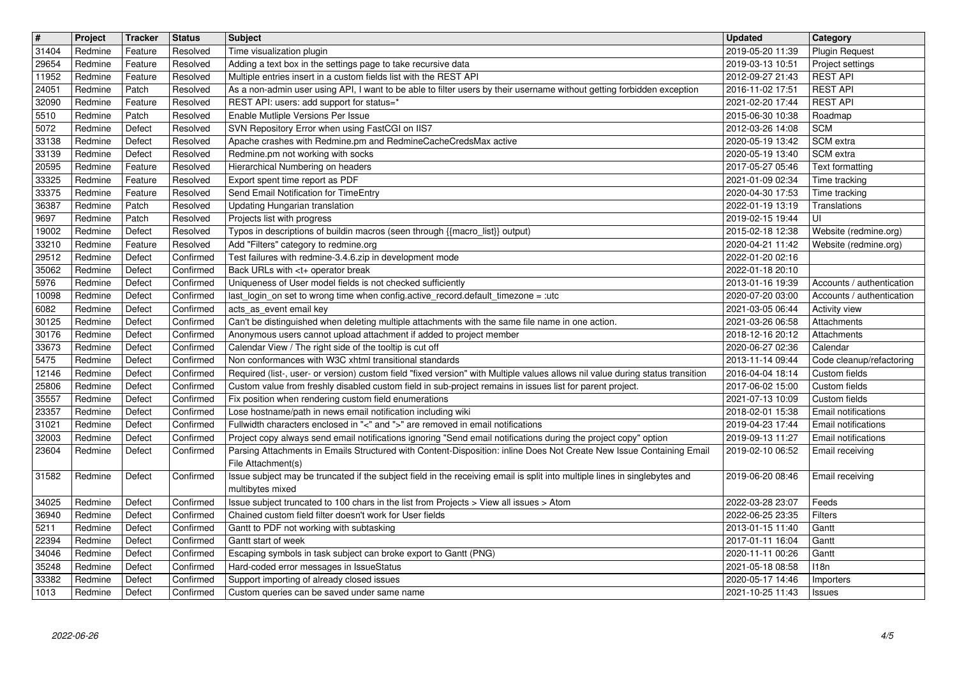|                | Project<br>Redmine | Tracker<br>Feature | <b>Status</b><br>Resolved | <b>Subject</b>                                                                                                                                                                                                                              | <b>Updated</b><br>2019-05-20 11:39   | <b>Category</b><br><b>Plugin Request</b>       |
|----------------|--------------------|--------------------|---------------------------|---------------------------------------------------------------------------------------------------------------------------------------------------------------------------------------------------------------------------------------------|--------------------------------------|------------------------------------------------|
| 31404<br>29654 | Redmine            | Feature            | Resolved                  | Time visualization plugin<br>Adding a text box in the settings page to take recursive data                                                                                                                                                  | 2019-03-13 10:51                     | Project settings                               |
| 11952<br>24051 | Redmine<br>Redmine | Feature<br>Patch   | Resolved<br>Resolved      | Multiple entries insert in a custom fields list with the REST API<br>As a non-admin user using API, I want to be able to filter users by their username without getting forbidden exception                                                 | 2012-09-27 21:43<br>2016-11-02 17:51 | <b>REST API</b><br><b>REST API</b>             |
| 32090          | Redmine            | Feature            | Resolved                  | REST API: users: add support for status=*                                                                                                                                                                                                   | 2021-02-20 17:44                     | <b>REST API</b>                                |
| 5510<br>5072   | Redmine<br>Redmine | Patch<br>Defect    | Resolved<br>Resolved      | Enable Mutliple Versions Per Issue<br>SVN Repository Error when using FastCGI on IIS7                                                                                                                                                       | 2015-06-30 10:38<br>2012-03-26 14:08 | Roadmap<br><b>SCM</b>                          |
| 33138          | Redmine            | Defect             | Resolved                  | Apache crashes with Redmine.pm and RedmineCacheCredsMax active                                                                                                                                                                              | 2020-05-19 13:42                     | SCM extra                                      |
| 33139<br>20595 | Redmine<br>Redmine | Defect<br>Feature  | Resolved<br>Resolved      | Redmine.pm not working with socks<br>Hierarchical Numbering on headers                                                                                                                                                                      | 2020-05-19 13:40<br>2017-05-27 05:46 | SCM extra<br>Text formatting                   |
| 33325          | Redmine            | Feature            | Resolved                  | Export spent time report as PDF                                                                                                                                                                                                             | 2021-01-09 02:34                     | Time tracking                                  |
| 33375<br>36387 | Redmine<br>Redmine | Feature<br>Patch   | Resolved<br>Resolved      | Send Email Notification for TimeEntry<br>Updating Hungarian translation                                                                                                                                                                     | 2020-04-30 17:53<br>2022-01-19 13:19 | Time tracking<br>Translations                  |
| 9697           | Redmine            | Patch              | Resolved                  | Projects list with progress                                                                                                                                                                                                                 | 2019-02-15 19:44                     | l UI                                           |
| 19002<br>33210 | Redmine<br>Redmine | Defect<br>Feature  | Resolved<br>Resolved      | Typos in descriptions of buildin macros (seen through {{macro_list}} output)<br>Add "Filters" category to redmine.org                                                                                                                       | 2015-02-18 12:38<br>2020-04-21 11:42 | Website (redmine.org)<br>Website (redmine.org) |
| 29512          | Redmine            | Defect             | Confirmed                 | Test failures with redmine-3.4.6.zip in development mode                                                                                                                                                                                    | 2022-01-20 02:16                     |                                                |
| 35062<br>5976  | Redmine<br>Redmine | Defect<br>Defect   | Confirmed<br>Confirmed    | Back URLs with <t+ break<br="" operator="">Uniqueness of User model fields is not checked sufficiently</t+>                                                                                                                                 | 2022-01-18 20:10<br>2013-01-16 19:39 | Accounts / authentication                      |
| 10098<br>6082  | Redmine<br>Redmine | Defect<br>Defect   | Confirmed<br>Confirmed    | last_login_on set to wrong time when config.active_record.default_timezone = :utc<br>acts_as_event email key                                                                                                                                | 2020-07-20 03:00<br>2021-03-05 06:44 | Accounts / authentication<br>Activity view     |
| 30125          | Redmine            | Defect             | Confirmed                 | Can't be distinguished when deleting multiple attachments with the same file name in one action.                                                                                                                                            | 2021-03-26 06:58                     | Attachments                                    |
| 30176<br>33673 | Redmine<br>Redmine | Defect<br>Defect   | Confirmed<br>Confirmed    | Anonymous users cannot upload attachment if added to project member<br>Calendar View / The right side of the tooltip is cut off                                                                                                             | 2018-12-16 20:12<br>2020-06-27 02:36 | Attachments<br>Calendar                        |
| 5475           | Redmine            | Defect             | Confirmed                 | Non conformances with W3C xhtml transitional standards                                                                                                                                                                                      | 2013-11-14 09:44                     | Code cleanup/refactoring                       |
| 12146<br>25806 | Redmine<br>Redmine | Defect<br>Defect   | Confirmed<br>Confirmed    | Required (list-, user- or version) custom field "fixed version" with Multiple values allows nil value during status transition<br>Custom value from freshly disabled custom field in sub-project remains in issues list for parent project. | 2016-04-04 18:14<br>2017-06-02 15:00 | Custom fields<br>Custom fields                 |
| 35557          | Redmine            | Defect             | Confirmed                 | Fix position when rendering custom field enumerations                                                                                                                                                                                       | 2021-07-13 10:09                     | Custom fields                                  |
| 23357<br>31021 | Redmine<br>Redmine | Defect<br>Defect   | Confirmed<br>Confirmed    | Lose hostname/path in news email notification including wiki<br>Fullwidth characters enclosed in "<" and ">" are removed in email notifications                                                                                             | 2018-02-01 15:38<br>2019-04-23 17:44 | Email notifications<br>Email notifications     |
| 32003          | Redmine            | Defect             | Confirmed                 | Project copy always send email notifications ignoring "Send email notifications during the project copy" option                                                                                                                             | 2019-09-13 11:27                     | Email notifications                            |
| 23604          | Redmine            | Defect             | Confirmed                 | Parsing Attachments in Emails Structured with Content-Disposition: inline Does Not Create New Issue Containing Email<br>File Attachment(s)                                                                                                  | 2019-02-10 06:52                     | Email receiving                                |
| 31582          | Redmine            | Defect             | Confirmed                 | Issue subject may be truncated if the subject field in the receiving email is split into multiple lines in singlebytes and                                                                                                                  | 2019-06-20 08:46                     | Email receiving                                |
| 34025          | Redmine            | Defect             | Confirmed                 | multibytes mixed<br>Issue subject truncated to 100 chars in the list from Projects > View all issues > Atom                                                                                                                                 | 2022-03-28 23:07                     | Feeds                                          |
| 36940          | Redmine            | Defect             | Confirmed                 | Chained custom field filter doesn't work for User fields                                                                                                                                                                                    | 2022-06-25 23:35                     | Filters                                        |
| 5211<br>22394  | Redmine<br>Redmine | Defect<br>Defect   | Confirmed<br>Confirmed    | Gantt to PDF not working with subtasking<br>Gantt start of week                                                                                                                                                                             | 2013-01-15 11:40<br>2017-01-11 16:04 | Gantt<br>Gantt                                 |
| 34046<br>35248 | Redmine<br>Redmine | Defect<br>Defect   | Confirmed<br>Confirmed    | Escaping symbols in task subject can broke export to Gantt (PNG)<br>Hard-coded error messages in IssueStatus                                                                                                                                | 2020-11-11 00:26<br>2021-05-18 08:58 | Gantt<br>118n                                  |
| 33382          | Redmine            | Defect             | Confirmed                 | Support importing of already closed issues                                                                                                                                                                                                  | 2020-05-17 14:46                     | Importers                                      |
|                |                    |                    |                           |                                                                                                                                                                                                                                             |                                      |                                                |
|                |                    |                    |                           |                                                                                                                                                                                                                                             |                                      |                                                |
|                |                    |                    |                           |                                                                                                                                                                                                                                             |                                      |                                                |
|                |                    |                    |                           |                                                                                                                                                                                                                                             |                                      |                                                |
|                |                    |                    |                           |                                                                                                                                                                                                                                             |                                      |                                                |
|                |                    |                    |                           |                                                                                                                                                                                                                                             |                                      |                                                |
|                |                    |                    |                           |                                                                                                                                                                                                                                             |                                      |                                                |
|                |                    |                    |                           |                                                                                                                                                                                                                                             |                                      |                                                |
|                |                    |                    |                           |                                                                                                                                                                                                                                             |                                      |                                                |
|                |                    |                    |                           |                                                                                                                                                                                                                                             |                                      |                                                |
|                |                    |                    |                           |                                                                                                                                                                                                                                             |                                      |                                                |
|                |                    |                    |                           |                                                                                                                                                                                                                                             |                                      |                                                |
|                |                    |                    |                           |                                                                                                                                                                                                                                             |                                      |                                                |
|                |                    |                    |                           |                                                                                                                                                                                                                                             |                                      |                                                |
|                |                    |                    |                           |                                                                                                                                                                                                                                             |                                      |                                                |
|                |                    |                    |                           |                                                                                                                                                                                                                                             |                                      |                                                |
|                |                    |                    |                           |                                                                                                                                                                                                                                             |                                      |                                                |
|                |                    |                    |                           |                                                                                                                                                                                                                                             |                                      |                                                |
|                |                    |                    |                           |                                                                                                                                                                                                                                             |                                      |                                                |
|                |                    |                    |                           |                                                                                                                                                                                                                                             |                                      |                                                |
|                |                    |                    |                           |                                                                                                                                                                                                                                             |                                      |                                                |
|                |                    |                    |                           |                                                                                                                                                                                                                                             |                                      |                                                |
|                |                    |                    |                           |                                                                                                                                                                                                                                             |                                      |                                                |
|                |                    |                    |                           |                                                                                                                                                                                                                                             |                                      |                                                |
|                |                    |                    |                           |                                                                                                                                                                                                                                             |                                      |                                                |
|                |                    |                    |                           |                                                                                                                                                                                                                                             |                                      |                                                |
|                |                    |                    |                           |                                                                                                                                                                                                                                             |                                      |                                                |
|                |                    |                    |                           |                                                                                                                                                                                                                                             |                                      |                                                |
|                |                    |                    |                           |                                                                                                                                                                                                                                             |                                      |                                                |
|                |                    |                    |                           |                                                                                                                                                                                                                                             |                                      |                                                |
|                |                    |                    |                           |                                                                                                                                                                                                                                             |                                      |                                                |
|                |                    |                    |                           |                                                                                                                                                                                                                                             |                                      |                                                |
|                |                    |                    |                           |                                                                                                                                                                                                                                             |                                      |                                                |
|                |                    |                    |                           |                                                                                                                                                                                                                                             |                                      |                                                |
|                |                    |                    |                           |                                                                                                                                                                                                                                             |                                      |                                                |